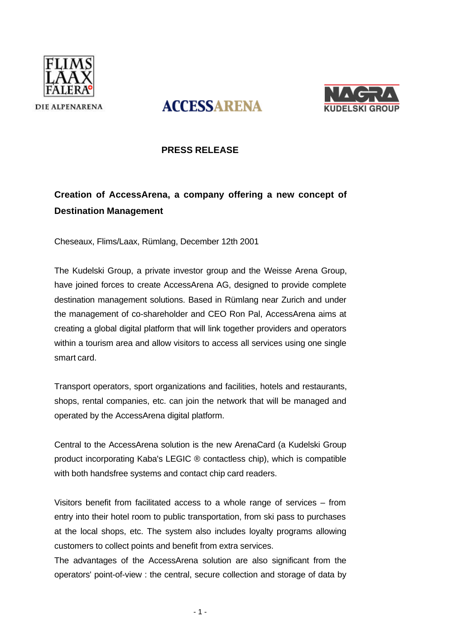



# **ACCESSARENA**

## **PRESS RELEASE**

# **Creation of AccessArena, a company offering a new concept of Destination Management**

Cheseaux, Flims/Laax, Rümlang, December 12th 2001

The Kudelski Group, a private investor group and the Weisse Arena Group, have joined forces to create AccessArena AG, designed to provide complete destination management solutions. Based in Rümlang near Zurich and under the management of co-shareholder and CEO Ron Pal, AccessArena aims at creating a global digital platform that will link together providers and operators within a tourism area and allow visitors to access all services using one single smart card.

Transport operators, sport organizations and facilities, hotels and restaurants, shops, rental companies, etc. can join the network that will be managed and operated by the AccessArena digital platform.

Central to the AccessArena solution is the new ArenaCard (a Kudelski Group product incorporating Kaba's LEGIC ® contactless chip), which is compatible with both handsfree systems and contact chip card readers.

Visitors benefit from facilitated access to a whole range of services – from entry into their hotel room to public transportation, from ski pass to purchases at the local shops, etc. The system also includes loyalty programs allowing customers to collect points and benefit from extra services.

The advantages of the AccessArena solution are also significant from the operators' point-of-view : the central, secure collection and storage of data by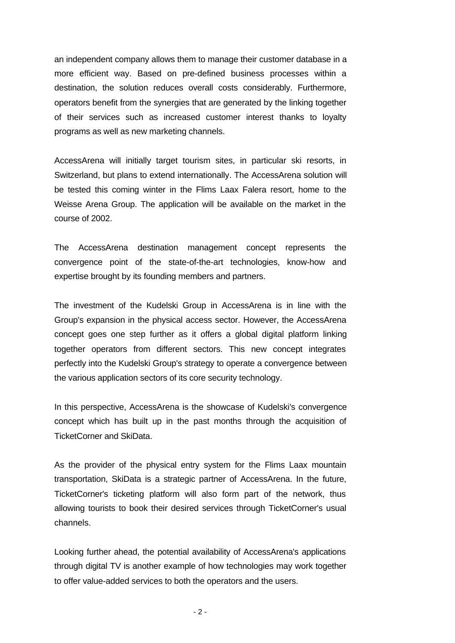an independent company allows them to manage their customer database in a more efficient way. Based on pre-defined business processes within a destination, the solution reduces overall costs considerably. Furthermore, operators benefit from the synergies that are generated by the linking together of their services such as increased customer interest thanks to loyalty programs as well as new marketing channels.

AccessArena will initially target tourism sites, in particular ski resorts, in Switzerland, but plans to extend internationally. The AccessArena solution will be tested this coming winter in the Flims Laax Falera resort, home to the Weisse Arena Group. The application will be available on the market in the course of 2002.

The AccessArena destination management concept represents the convergence point of the state-of-the-art technologies, know-how and expertise brought by its founding members and partners.

The investment of the Kudelski Group in AccessArena is in line with the Group's expansion in the physical access sector. However, the AccessArena concept goes one step further as it offers a global digital platform linking together operators from different sectors. This new concept integrates perfectly into the Kudelski Group's strategy to operate a convergence between the various application sectors of its core security technology.

In this perspective, AccessArena is the showcase of Kudelski's convergence concept which has built up in the past months through the acquisition of TicketCorner and SkiData.

As the provider of the physical entry system for the Flims Laax mountain transportation, SkiData is a strategic partner of AccessArena. In the future, TicketCorner's ticketing platform will also form part of the network, thus allowing tourists to book their desired services through TicketCorner's usual channels.

Looking further ahead, the potential availability of AccessArena's applications through digital TV is another example of how technologies may work together to offer value-added services to both the operators and the users.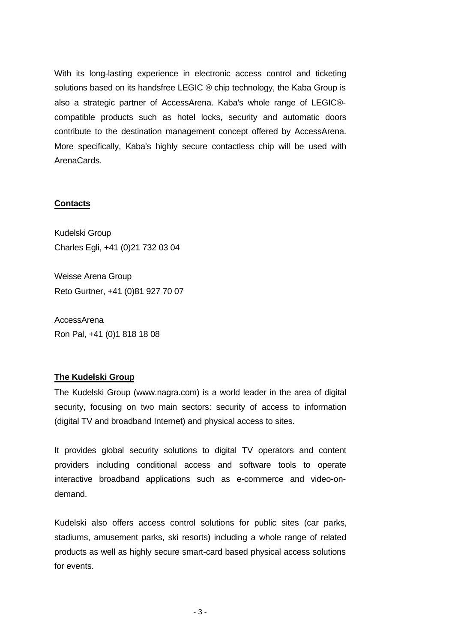With its long-lasting experience in electronic access control and ticketing solutions based on its handsfree LEGIC ® chip technology, the Kaba Group is also a strategic partner of AccessArena. Kaba's whole range of LEGIC® compatible products such as hotel locks, security and automatic doors contribute to the destination management concept offered by AccessArena. More specifically, Kaba's highly secure contactless chip will be used with ArenaCards.

#### **Contacts**

Kudelski Group Charles Egli, +41 (0)21 732 03 04

Weisse Arena Group Reto Gurtner, +41 (0)81 927 70 07

**AccessArena** Ron Pal, +41 (0)1 818 18 08

#### **The Kudelski Group**

The Kudelski Group (www.nagra.com) is a world leader in the area of digital security, focusing on two main sectors: security of access to information (digital TV and broadband Internet) and physical access to sites.

It provides global security solutions to digital TV operators and content providers including conditional access and software tools to operate interactive broadband applications such as e-commerce and video-ondemand.

Kudelski also offers access control solutions for public sites (car parks, stadiums, amusement parks, ski resorts) including a whole range of related products as well as highly secure smart-card based physical access solutions for events.